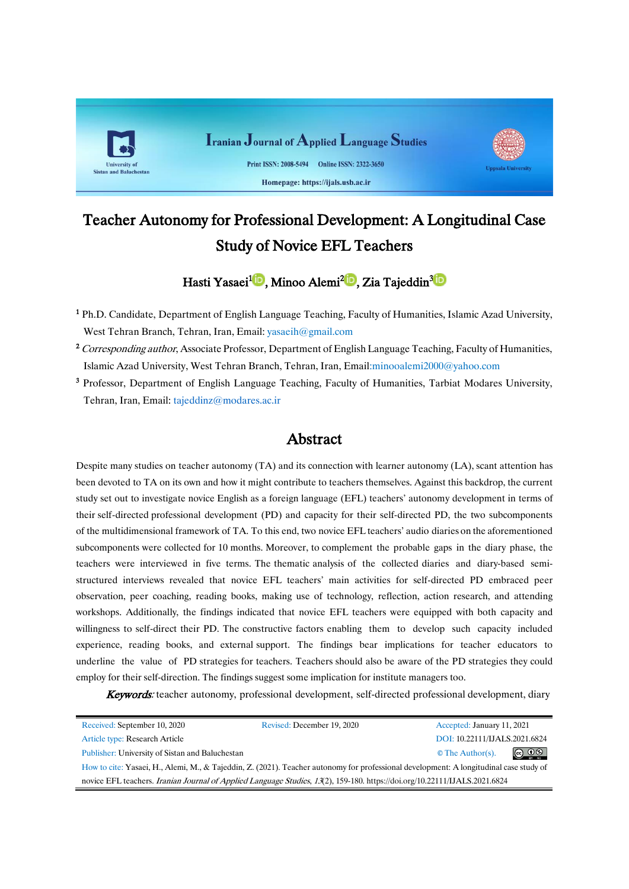

# Teacher Autonomy for Professional Development: A Longitudinal Case Study of Novice EFL Teachers

Hasti Yasaei<sup>1</sup>D[,](https://orcid.org/0000-0001-9703-831x)Minoo Alemi<sup>2</sup>D, Zia Tajeddin<sup>3</sup>D

<sup>1</sup> Ph.D. Candidate, Department of English Language Teaching, Faculty of Humanities, Islamic Azad University, West Tehran Branch, Tehran, Iran, Email: [yasaeih@gmail.com](mailto:yasaeih@gmail.com)

<sup>2</sup> Corresponding author, Associate Professor, Department of English Language Teaching, Faculty of Humanities, Islamic Azad University, West Tehran Branch, Tehran, Iran, Email:[minooalemi2000@yahoo.com](mailto:minooalemi2000@yahoo.com)

<sup>3</sup> Professor, Department of English Language Teaching, Faculty of Humanities, Tarbiat Modares University, Tehran, Iran, Email: [tajeddinz@modares.ac.ir](mailto:tajeddinz@modares.ac.ir)

# Abstract

Despite many studies on teacher autonomy (TA) and its connection with learner autonomy (LA), scant attention has been devoted to TA on its own and how it might contribute to teachers themselves. Against this backdrop, the current study set out to investigate novice English as a foreign language (EFL) teachers' autonomy development in terms of their self-directed professional development (PD) and capacity for their self-directed PD, the two subcomponents of the multidimensional framework of TA. To this end, two novice EFL teachers' audio diaries on the aforementioned subcomponents were collected for 10 months. Moreover, to complement the probable gaps in the diary phase, the teachers were interviewed in five terms. The thematic analysis of the collected diaries and diary-based semistructured interviews revealed that novice EFL teachers' main activities for self-directed PD embraced peer observation, peer coaching, reading books, making use of technology, reflection, action research, and attending workshops. Additionally, the findings indicated that novice EFL teachers were equipped with both capacity and willingness to self-direct their PD. The constructive factors enabling them to develop such capacity included experience, reading books, and external support. The findings bear implications for teacher educators to underline the value of PD strategies for teachers. Teachers should also be aware of the PD strategies they could employ for their self-direction. The findings suggest some implication for institute managers too.

Keywords: teacher autonomy, professional development, self-directed professional development, diary

| Received: September 10, 2020                                                                                                           | Revised: December 19, 2020 | Accepted: January 11, 2021               |
|----------------------------------------------------------------------------------------------------------------------------------------|----------------------------|------------------------------------------|
| Article type: Research Article                                                                                                         |                            | DOI: 10.22111/IJALS.2021.6824            |
| Publisher: University of Sistan and Baluchestan                                                                                        |                            | $\circledcirc$<br>$\circ$ The Author(s). |
| How to cite: Yasaei, H., Alemi, M., & Tajeddin, Z. (2021). Teacher autonomy for professional development: A longitudinal case study of |                            |                                          |
| novice EFL teachers. Iranian Journal of Applied Language Studies, 13(2), 159-180. https://doi.org/10.22111/IJALS.2021.6824             |                            |                                          |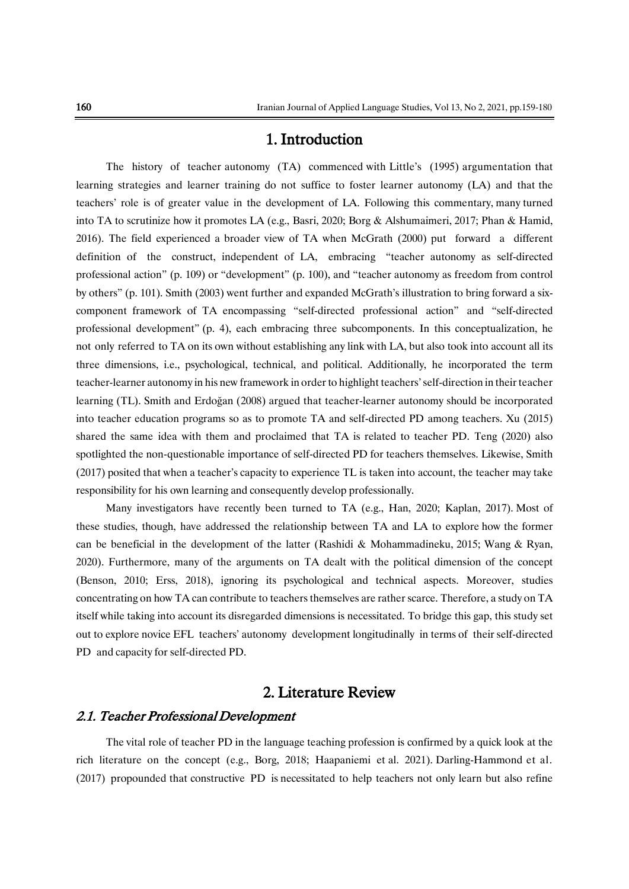# 1. Introduction

The history of teacher autonomy (TA) commenced with Little's (1995) argumentation that learning strategies and learner training do not suffice to foster learner autonomy (LA) and that the teachers' role is of greater value in the development of LA. Following this commentary, many turned into TA to scrutinize how it promotes LA (e.g., Basri, 2020; Borg & Alshumaimeri, 2017; Phan & Hamid, 2016). The field experienced a broader view of TA when McGrath (2000) put forward a different definition of the construct, independent of LA, embracing "teacher autonomy as self-directed professional action" (p. 109) or "development" (p. 100), and "teacher autonomy as freedom from control by others" (p. 101). Smith (2003) went further and expanded McGrath's illustration to bring forward a sixcomponent framework of TA encompassing "self-directed professional action" and "self-directed professional development" (p. 4), each embracing three subcomponents. In this conceptualization, he not only referred to TA on its own without establishing any link with LA, but also took into account all its three dimensions, i.e., psychological, technical, and political. Additionally, he incorporated the term teacher-learner autonomy in his new framework in orderto highlight teachers'self-direction in their teacher learning (TL). Smith and Erdoğan (2008) argued that teacher-learner autonomy should be incorporated into teacher education programs so as to promote TA and self-directed PD among teachers. Xu (2015) shared the same idea with them and proclaimed that TA is related to teacher PD. Teng (2020) also spotlighted the non-questionable importance of self-directed PD for teachers themselves. Likewise, Smith (2017) posited that when a teacher's capacity to experience TL is taken into account, the teacher may take responsibility for his own learning and consequently develop professionally.

Many investigators have recently been turned to TA (e.g., Han, 2020; Kaplan, 2017). Most of these studies, though, have addressed the relationship between TA and LA to explore how the former can be beneficial in the development of the latter (Rashidi & Mohammadineku, 2015; Wang & Ryan, 2020). Furthermore, many of the arguments on TA dealt with the political dimension of the concept (Benson, 2010; Erss, 2018), ignoring its psychological and technical aspects. Moreover, studies concentrating on how TA can contribute to teachers themselves are rather scarce. Therefore, a study on TA itself while taking into account its disregarded dimensions is necessitated. To bridge this gap, this study set out to explore novice EFL teachers' autonomy development longitudinally in terms of their self-directed PD and capacity for self-directed PD.

# 2. Literature Review

### 2.1. Teacher Professional Development

The vital role of teacher PD in the language teaching profession is confirmed by a quick look at the rich literature on the concept (e.g., Borg, 2018; Haapaniemi et al. 2021). Darling-Hammond et al. (2017) propounded that constructive PD is necessitated to help teachers not only learn but also refine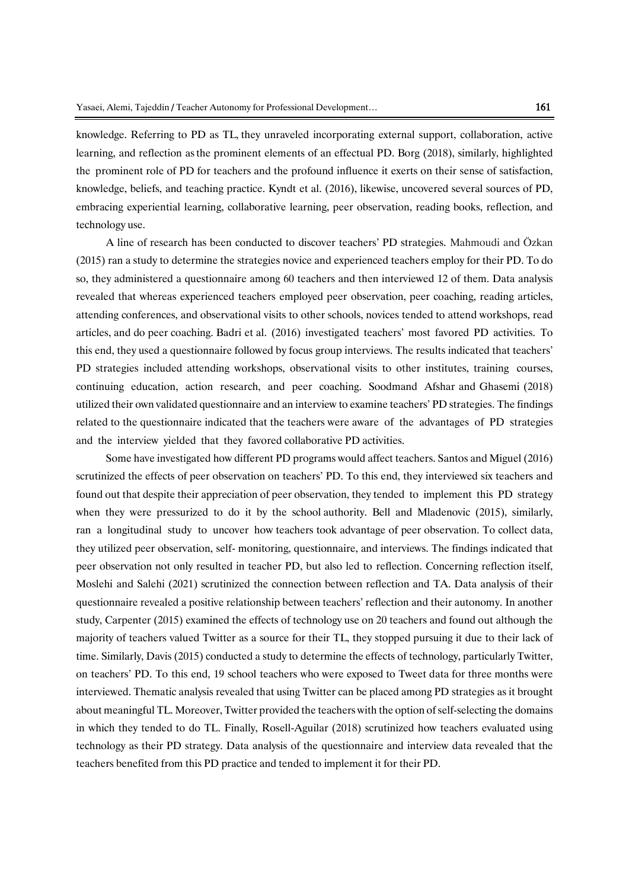knowledge. Referring to PD as TL, they unraveled incorporating external support, collaboration, active learning, and reflection as the prominent elements of an effectual PD. Borg (2018), similarly, highlighted the prominent role of PD for teachers and the profound influence it exerts on their sense of satisfaction, knowledge, beliefs, and teaching practice. Kyndt et al. (2016), likewise, uncovered several sources of PD, embracing experiential learning, collaborative learning, peer observation, reading books, reflection, and technology use.

A line of research has been conducted to discover teachers' PD strategies. Mahmoudi and Özkan (2015) ran a study to determine the strategies novice and experienced teachers employ for their PD. To do so, they administered a questionnaire among 60 teachers and then interviewed 12 of them. Data analysis revealed that whereas experienced teachers employed peer observation, peer coaching, reading articles, attending conferences, and observational visits to other schools, novices tended to attend workshops, read articles, and do peer coaching. Badri et al. (2016) investigated teachers' most favored PD activities. To this end, they used a questionnaire followed by focus group interviews. The results indicated that teachers' PD strategies included attending workshops, observational visits to other institutes, training courses, continuing education, action research, and peer coaching. Soodmand Afshar and Ghasemi (2018) utilized their own validated questionnaire and an interview to examine teachers' PD strategies. The findings related to the questionnaire indicated that the teachers were aware of the advantages of PD strategies and the interview yielded that they favored collaborative PD activities.

Some have investigated how different PD programs would affect teachers. Santos and Miguel (2016) scrutinized the effects of peer observation on teachers' PD. To this end, they interviewed six teachers and found out that despite their appreciation of peer observation, they tended to implement this PD strategy when they were pressurized to do it by the school authority. Bell and Mladenovic (2015), similarly, ran a longitudinal study to uncover how teachers took advantage of peer observation. To collect data, they utilized peer observation, self- monitoring, questionnaire, and interviews. The findings indicated that peer observation not only resulted in teacher PD, but also led to reflection. Concerning reflection itself, Moslehi and Salehi (2021) scrutinized the connection between reflection and TA. Data analysis of their questionnaire revealed a positive relationship between teachers' reflection and their autonomy. In another study, Carpenter (2015) examined the effects of technology use on 20 teachers and found out although the majority of teachers valued Twitter as a source for their TL, they stopped pursuing it due to their lack of time. Similarly, Davis (2015) conducted a study to determine the effects of technology, particularly Twitter, on teachers' PD. To this end, 19 school teachers who were exposed to Tweet data for three months were interviewed. Thematic analysis revealed that using Twitter can be placed among PD strategies as it brought about meaningful TL. Moreover, Twitter provided the teachers with the option of self-selecting the domains in which they tended to do TL. Finally, Rosell-Aguilar (2018) scrutinized how teachers evaluated using technology as their PD strategy. Data analysis of the questionnaire and interview data revealed that the teachers benefited from this PD practice and tended to implement it for their PD.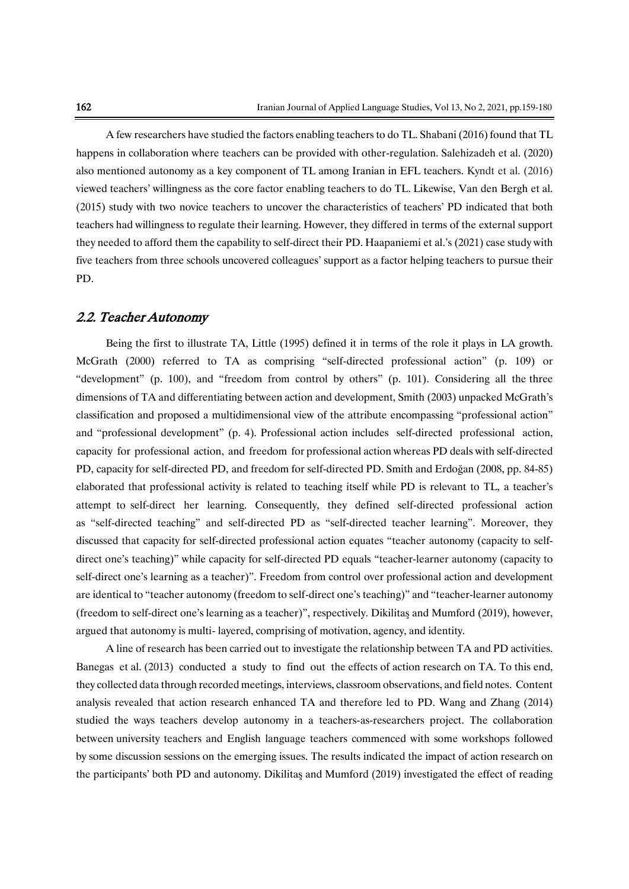A few researchers have studied the factors enabling teachers to do TL. Shabani (2016) found that TL happens in collaboration where teachers can be provided with other-regulation. Salehizadeh et al. (2020) also mentioned autonomy as a key component of TL among Iranian in EFL teachers. Kyndt et al. (2016) viewed teachers' willingness as the core factor enabling teachers to do TL. Likewise, Van den Bergh et al. (2015) study with two novice teachers to uncover the characteristics of teachers' PD indicated that both teachers had willingness to regulate their learning. However, they differed in terms of the external support they needed to afford them the capability to self-direct their PD. Haapaniemi et al.'s (2021) case study with five teachers from three schools uncovered colleagues' support as a factor helping teachers to pursue their PD.

#### 2.2. Teacher Autonomy

Being the first to illustrate TA, Little (1995) defined it in terms of the role it plays in LA growth. McGrath (2000) referred to TA as comprising "self-directed professional action" (p. 109) or "development" (p. 100), and "freedom from control by others" (p. 101). Considering all the three dimensions of TA and differentiating between action and development, Smith (2003) unpacked McGrath's classification and proposed a multidimensional view of the attribute encompassing "professional action" and "professional development" (p. 4). Professional action includes self-directed professional action, capacity for professional action, and freedom for professional action whereas PD deals with self-directed PD, capacity for self-directed PD, and freedom for self-directed PD. Smith and Erdoğan (2008, pp. 84-85) elaborated that professional activity is related to teaching itself while PD is relevant to TL, a teacher's attempt to self-direct her learning. Consequently, they defined self-directed professional action as "self-directed teaching" and self-directed PD as "self-directed teacher learning". Moreover, they discussed that capacity for self-directed professional action equates "teacher autonomy (capacity to selfdirect one's teaching)" while capacity for self-directed PD equals "teacher-learner autonomy (capacity to self-direct one's learning as a teacher)". Freedom from control over professional action and development are identical to "teacher autonomy (freedom to self-direct one's teaching)" and "teacher-learner autonomy (freedom to self-direct one's learning as a teacher)", respectively. Dikilitaş and Mumford (2019), however, argued that autonomy is multi- layered, comprising of motivation, agency, and identity.

A line of research has been carried out to investigate the relationship between TA and PD activities. Banegas et al. (2013) conducted a study to find out the effects of action research on TA. To this end, they collected data through recorded meetings, interviews, classroom observations, and field notes. Content analysis revealed that action research enhanced TA and therefore led to PD. Wang and Zhang (2014) studied the ways teachers develop autonomy in a teachers-as-researchers project. The collaboration between university teachers and English language teachers commenced with some workshops followed by some discussion sessions on the emerging issues. The results indicated the impact of action research on the participants' both PD and autonomy. Dikilitaş and Mumford (2019) investigated the effect of reading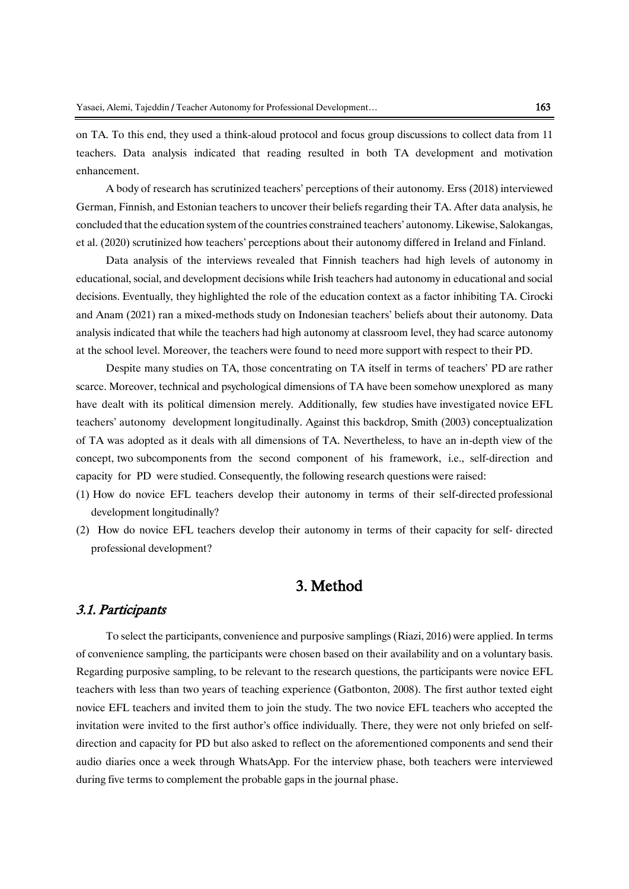on TA. To this end, they used a think-aloud protocol and focus group discussions to collect data from 11 teachers. Data analysis indicated that reading resulted in both TA development and motivation enhancement.

A body of research has scrutinized teachers' perceptions of their autonomy. Erss (2018) interviewed German, Finnish, and Estonian teachers to uncover their beliefs regarding their TA. After data analysis, he concluded that the education system of the countries constrained teachers' autonomy. Likewise, Salokangas, et al. (2020) scrutinized how teachers' perceptions about their autonomy differed in Ireland and Finland.

Data analysis of the interviews revealed that Finnish teachers had high levels of autonomy in educational, social, and development decisions while Irish teachers had autonomy in educational and social decisions. Eventually, they highlighted the role of the education context as a factor inhibiting TA. Cirocki and Anam (2021) ran a mixed-methods study on Indonesian teachers' beliefs about their autonomy. Data analysis indicated that while the teachers had high autonomy at classroom level, they had scarce autonomy at the school level. Moreover, the teachers were found to need more support with respect to their PD.

Despite many studies on TA, those concentrating on TA itself in terms of teachers' PD are rather scarce. Moreover, technical and psychological dimensions of TA have been somehow unexplored as many have dealt with its political dimension merely. Additionally, few studies have investigated novice EFL teachers' autonomy development longitudinally. Against this backdrop, Smith (2003) conceptualization of TA was adopted as it deals with all dimensions of TA. Nevertheless, to have an in-depth view of the concept, two subcomponents from the second component of his framework, i.e., self-direction and capacity for PD were studied. Consequently, the following research questions were raised:

- (1) How do novice EFL teachers develop their autonomy in terms of their self-directed professional development longitudinally?
- (2) How do novice EFL teachers develop their autonomy in terms of their capacity for self- directed professional development?

# 3. Method

#### 3.1. Participants

To select the participants, convenience and purposive samplings (Riazi, 2016) were applied. In terms of convenience sampling, the participants were chosen based on their availability and on a voluntary basis. Regarding purposive sampling, to be relevant to the research questions, the participants were novice EFL teachers with less than two years of teaching experience (Gatbonton, 2008). The first author texted eight novice EFL teachers and invited them to join the study. The two novice EFL teachers who accepted the invitation were invited to the first author's office individually. There, they were not only briefed on selfdirection and capacity for PD but also asked to reflect on the aforementioned components and send their audio diaries once a week through WhatsApp. For the interview phase, both teachers were interviewed during five terms to complement the probable gaps in the journal phase.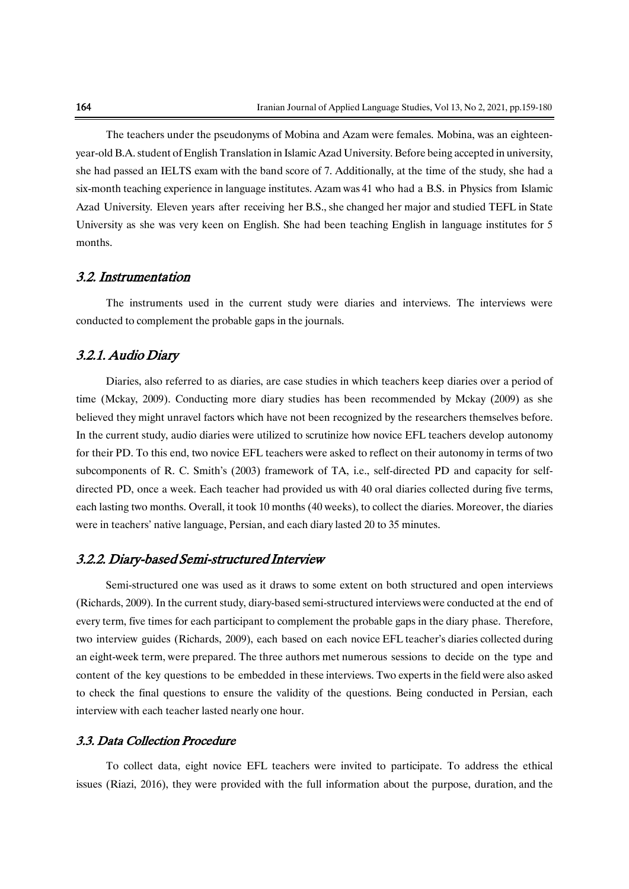The teachers under the pseudonyms of Mobina and Azam were females. Mobina, was an eighteenyear-old B.A. student of English Translation in Islamic Azad University. Before being accepted in university, she had passed an IELTS exam with the band score of 7. Additionally, at the time of the study, she had a six-month teaching experience in language institutes. Azam was 41 who had a B.S. in Physics from Islamic Azad University. Eleven years after receiving her B.S., she changed her major and studied TEFL in State University as she was very keen on English. She had been teaching English in language institutes for 5 months.

### 3.2. Instrumentation

The instruments used in the current study were diaries and interviews. The interviews were conducted to complement the probable gaps in the journals.

### 3.2.1. Audio Diary

Diaries, also referred to as diaries, are case studies in which teachers keep diaries over a period of time (Mckay, 2009). Conducting more diary studies has been recommended by Mckay (2009) as she believed they might unravel factors which have not been recognized by the researchers themselves before. In the current study, audio diaries were utilized to scrutinize how novice EFL teachers develop autonomy for their PD. To this end, two novice EFL teachers were asked to reflect on their autonomy in terms of two subcomponents of R. C. Smith's (2003) framework of TA, i.e., self-directed PD and capacity for selfdirected PD, once a week. Each teacher had provided us with 40 oral diaries collected during five terms, each lasting two months. Overall, it took 10 months (40 weeks), to collect the diaries. Moreover, the diaries were in teachers' native language, Persian, and each diary lasted 20 to 35 minutes.

#### 3.2.2. Diary-based Semi-structured Interview

Semi-structured one was used as it draws to some extent on both structured and open interviews (Richards, 2009). In the current study, diary-based semi-structured interviews were conducted at the end of every term, five times for each participant to complement the probable gaps in the diary phase. Therefore, two interview guides (Richards, 2009), each based on each novice EFL teacher's diaries collected during an eight-week term, were prepared. The three authors met numerous sessions to decide on the type and content of the key questions to be embedded in these interviews. Two experts in the field were also asked to check the final questions to ensure the validity of the questions. Being conducted in Persian, each interview with each teacher lasted nearly one hour.

#### 3.3. Data Collection Procedure

To collect data, eight novice EFL teachers were invited to participate. To address the ethical issues (Riazi, 2016), they were provided with the full information about the purpose, duration, and the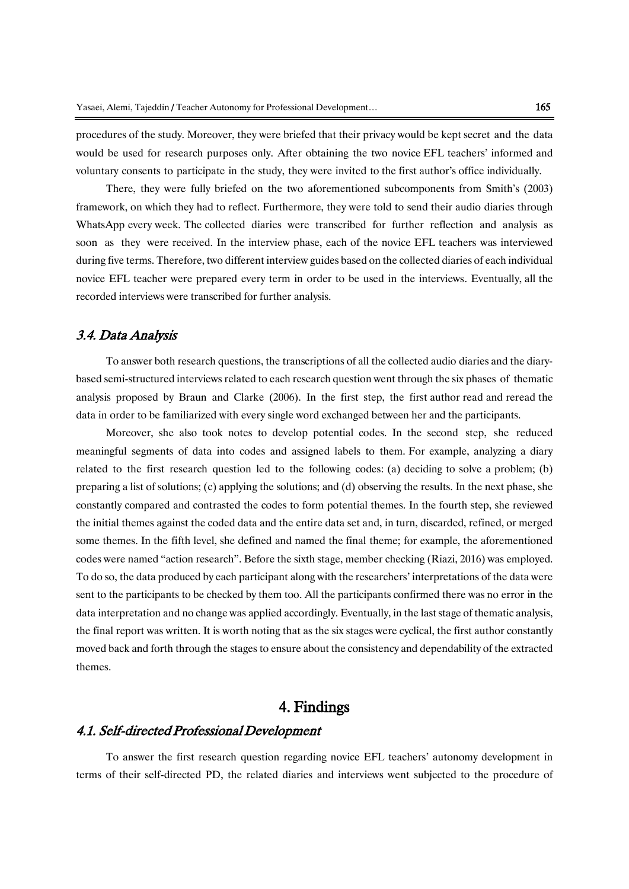procedures of the study. Moreover, they were briefed that their privacy would be kept secret and the data would be used for research purposes only. After obtaining the two novice EFL teachers' informed and voluntary consents to participate in the study, they were invited to the first author's office individually.

There, they were fully briefed on the two aforementioned subcomponents from Smith's (2003) framework, on which they had to reflect. Furthermore, they were told to send their audio diaries through WhatsApp every week. The collected diaries were transcribed for further reflection and analysis as soon as they were received. In the interview phase, each of the novice EFL teachers was interviewed during five terms. Therefore, two different interview guides based on the collected diaries of each individual novice EFL teacher were prepared every term in order to be used in the interviews. Eventually, all the recorded interviews were transcribed for further analysis.

### 3.4. Data Analysis

To answer both research questions, the transcriptions of all the collected audio diaries and the diarybased semi-structured interviews related to each research question went through the six phases of thematic analysis proposed by Braun and Clarke (2006). In the first step, the first author read and reread the data in order to be familiarized with every single word exchanged between her and the participants.

Moreover, she also took notes to develop potential codes. In the second step, she reduced meaningful segments of data into codes and assigned labels to them. For example, analyzing a diary related to the first research question led to the following codes: (a) deciding to solve a problem; (b) preparing a list of solutions; (c) applying the solutions; and (d) observing the results. In the next phase, she constantly compared and contrasted the codes to form potential themes. In the fourth step, she reviewed the initial themes against the coded data and the entire data set and, in turn, discarded, refined, or merged some themes. In the fifth level, she defined and named the final theme; for example, the aforementioned codes were named "action research". Before the sixth stage, member checking (Riazi, 2016) was employed. To do so, the data produced by each participant along with the researchers' interpretations of the data were sent to the participants to be checked by them too. All the participants confirmed there was no error in the data interpretation and no change was applied accordingly. Eventually, in the laststage of thematic analysis, the final report was written. It is worth noting that as the six stages were cyclical, the first author constantly moved back and forth through the stages to ensure about the consistency and dependability of the extracted themes.

# 4. Findings

### 4.1. Self-directed Professional Development

To answer the first research question regarding novice EFL teachers' autonomy development in terms of their self-directed PD, the related diaries and interviews went subjected to the procedure of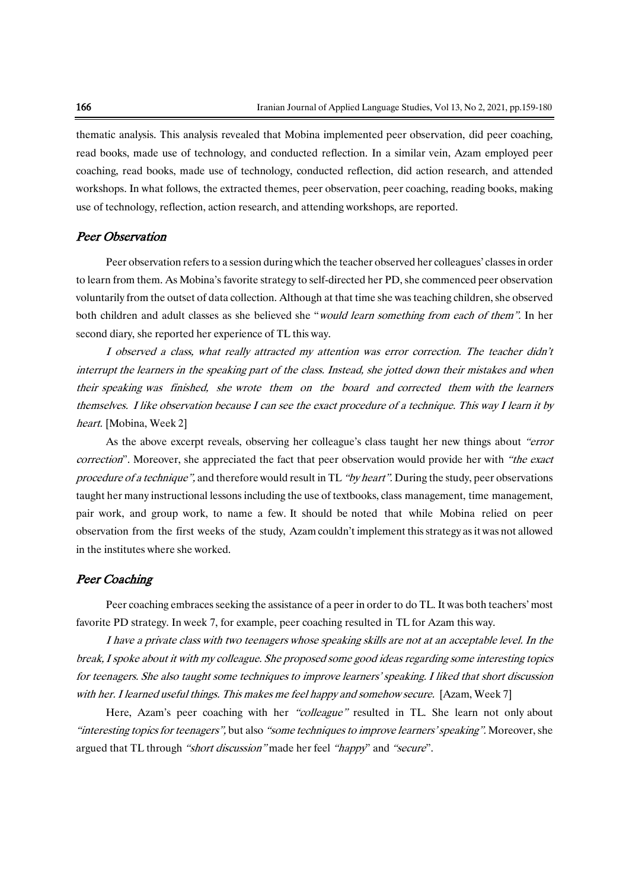thematic analysis. This analysis revealed that Mobina implemented peer observation, did peer coaching, read books, made use of technology, and conducted reflection. In a similar vein, Azam employed peer coaching, read books, made use of technology, conducted reflection, did action research, and attended workshops. In what follows, the extracted themes, peer observation, peer coaching, reading books, making use of technology, reflection, action research, and attending workshops, are reported.

#### Peer Observation

Peer observation refersto a session during which the teacher observed her colleagues' classesin order to learn from them. As Mobina's favorite strategy to self-directed her PD, she commenced peer observation voluntarily from the outset of data collection. Although at that time she was teaching children, she observed both children and adult classes as she believed she "would learn something from each of them". In her second diary, she reported her experience of TL this way.

I observed a class, what really attracted my attention was error correction. The teacher didn'<sup>t</sup> interrupt the learners in the speaking part of the class. Instead, she jotted down their mistakes and when their speaking was finished, she wrote them on the board and corrected them with the learners themselves. I like observation because I can see the exact procedure of <sup>a</sup> technique. This way I learn it by heart. [Mobina, Week 2]

As the above excerpt reveals, observing her colleague's class taught her new things about "error correction". Moreover, she appreciated the fact that peer observation would provide her with "the exact" procedure of a technique", and therefore would result in TL "by heart". During the study, peer observations taught her many instructional lessons including the use of textbooks, class management, time management, pair work, and group work, to name a few. It should be noted that while Mobina relied on peer observation from the first weeks of the study, Azam couldn't implement this strategy as it was not allowed in the institutes where she worked.

#### Peer Coaching

Peer coaching embraces seeking the assistance of a peer in order to do TL. It was both teachers' most favorite PD strategy. In week 7, for example, peer coaching resulted in TL for Azam this way.

I have <sup>a</sup> private class with two teenagers whose speaking skills are not at an acceptable level. In the break, I spoke about it with my colleague. She proposed some good ideas regarding some interesting topics for teenagers. She also taught some techniques to improve learners' speaking. I liked that short discussion with her. I learned useful things. This makes me feel happy and somehow secure. [Azam, Week 7]

Here, Azam's peer coaching with her "colleague" resulted in TL. She learn not only about "interesting topics for teenagers", but also "some techniques to improve learners' speaking". Moreover, she argued that TL through "short discussion" made her feel "happy" and "secure".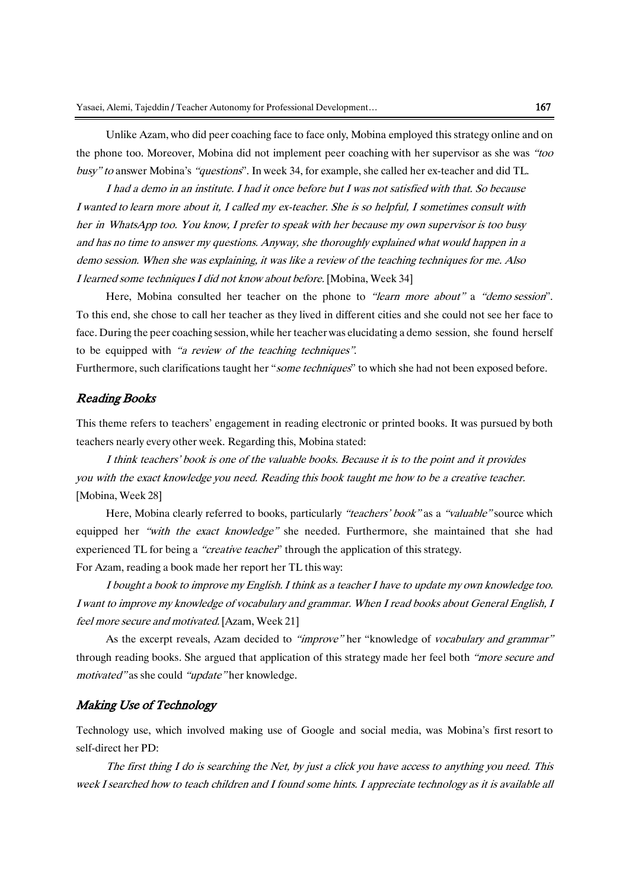Unlike Azam, who did peer coaching face to face only, Mobina employed this strategy online and on the phone too. Moreover, Mobina did not implement peer coaching with her supervisor as she was "too busy" to answer Mobina's "questions". In week 34, for example, she called her ex-teacher and did TL.

I had <sup>a</sup> demo in an institute. I had it once before but I was not satisfied with that. So because I wanted to learn more about it, I called my ex-teacher. She is so helpful, I sometimes consult with her in WhatsApp too. You know, I prefer to speak with her because my own supervisor is too busy and has no time to answer my questions. Anyway, she thoroughly explained what would happen in <sup>a</sup> demo session. When she was explaining, it was like <sup>a</sup> review of the teaching techniques for me. Also <sup>I</sup> learned some techniques <sup>I</sup> did not know about before. [Mobina, Week 34]

Here, Mobina consulted her teacher on the phone to "learn more about" a "demo session". To this end, she chose to call her teacher as they lived in different cities and she could not see her face to face. During the peer coaching session, while her teacher was elucidating a demo session, she found herself to be equipped with "<sup>a</sup> review of the teaching techniques".

Furthermore, such clarifications taught her "some techniques" to which she had not been exposed before.

### Reading Books

This theme refers to teachers' engagement in reading electronic or printed books. It was pursued by both teachers nearly every other week. Regarding this, Mobina stated:

I think teachers' book is one of the valuable books. Because it is to the point and it provides you with the exact knowledge you need. Reading this book taught me how to be a creative teacher. [Mobina, Week 28]

Here, Mobina clearly referred to books, particularly "teachers' book" as a "valuable" source which equipped her "with the exact knowledge" she needed. Furthermore, she maintained that she had experienced TL for being a "creative teacher" through the application of this strategy. For Azam, reading a book made her report her TL this way:

I bought a book to improve my English. I think as <sup>a</sup> teacher I have to update my own knowledge too. I want to improve my knowledge of vocabulary and grammar. When I read books about General English, I feel more secure and motivated. [Azam, Week 21]

As the excerpt reveals, Azam decided to "improve" her "knowledge of vocabulary and grammar" through reading books. She argued that application of this strategy made her feel both "more secure and motivated" as she could "update" her knowledge.

#### Making Use of Technology

Technology use, which involved making use of Google and social media, was Mobina's first resort to self-direct her PD:

The first thing I do is searching the Net, by just <sup>a</sup> click you have access to anything you need. This week I searched how to teach children and I found some hints. I appreciate technology as it is available all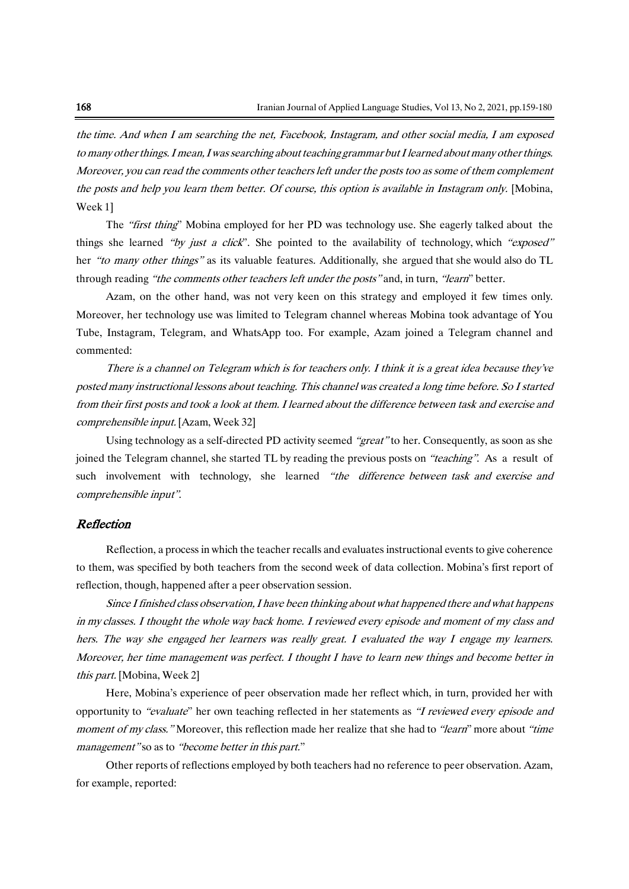the time. And when I am searching the net, Facebook, Instagram, and other social media, I am exposed to many other things. I mean, I was searching about teaching grammar but I learned about many other things. Moreover, you can read the comments other teachers left under the posts too as some of them complement the posts and help you learn them better. Of course, this option is available in Instagram only. [Mobina, Week 1]

The "first thing" Mobina employed for her PD was technology use. She eagerly talked about the things she learned "by just a click". She pointed to the availability of technology, which "exposed" her "to many other things" as its valuable features. Additionally, she argued that she would also do TL through reading "the comments other teachers left under the posts" and, in turn, "learn" better.

Azam, on the other hand, was not very keen on this strategy and employed it few times only. Moreover, her technology use was limited to Telegram channel whereas Mobina took advantage of You Tube, Instagram, Telegram, and WhatsApp too. For example, Azam joined a Telegram channel and commented:

There is <sup>a</sup> channel on Telegram which is for teachers only. I think it is <sup>a</sup> great idea because they've posted many instructional lessons about teaching. This channel was created <sup>a</sup> long time before. So I started from their first posts and took <sup>a</sup> look at them. I learned about the difference between task and exercise and comprehensible input. [Azam, Week 32]

Using technology as a self-directed PD activity seemed "great" to her. Consequently, as soon as she joined the Telegram channel, she started TL by reading the previous posts on "teaching". As a result of such involvement with technology, she learned "the difference between task and exercise and comprehensible input".

#### Reflection

Reflection, a process in which the teacher recalls and evaluates instructional events to give coherence to them, was specified by both teachers from the second week of data collection. Mobina's first report of reflection, though, happened after a peer observation session.

Since I finished class observation, I have been thinking about what happened there and what happens in my classes. I thought the whole way back home. I reviewed every episode and moment of my class and hers. The way she engaged her learners was really great. I evaluated the way I engage my learners. Moreover, her time management was perfect. I thought I have to learn new things and become better in this part. [Mobina, Week 2]

Here, Mobina's experience of peer observation made her reflect which, in turn, provided her with opportunity to "evaluate" her own teaching reflected in her statements as "<sup>I</sup> reviewed every episode and moment of my class." Moreover, this reflection made her realize that she had to "learn" more about "time management" so as to "become better in this part."

Other reports of reflections employed by both teachers had no reference to peer observation. Azam, for example, reported: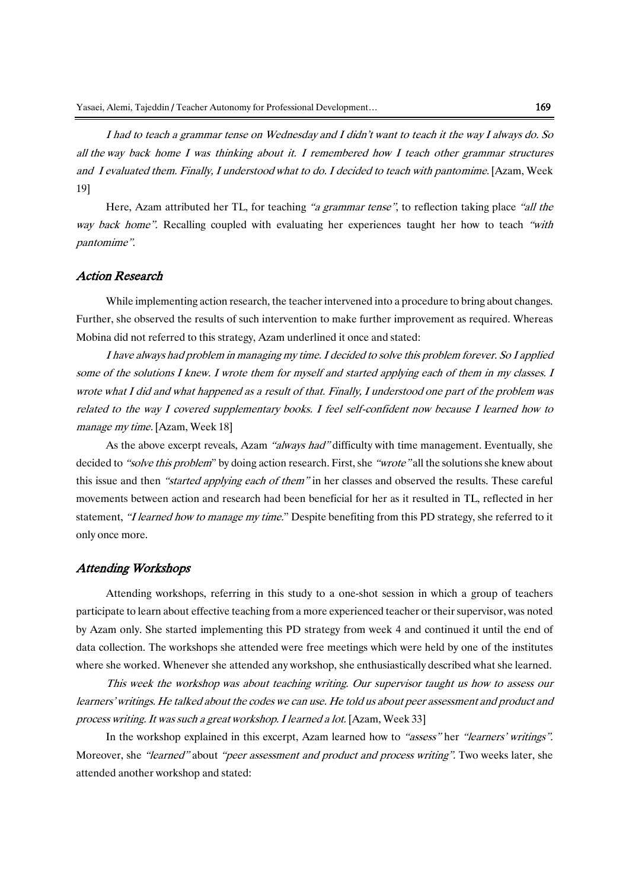I had to teach <sup>a</sup> grammar tense on Wednesday and I didn't want to teach it the way I always do. So all the way back home I was thinking about it. I remembered how I teach other grammar structures and I evaluated them. Finally, <sup>I</sup> understood what to do. I decided to teach with pantomime. [Azam, Week 19]

Here, Azam attributed her TL, for teaching "a grammar tense", to reflection taking place "all the way back home". Recalling coupled with evaluating her experiences taught her how to teach "with pantomime".

#### Action Research

While implementing action research, the teacher intervened into a procedure to bring about changes. Further, she observed the results of such intervention to make further improvement as required. Whereas Mobina did not referred to this strategy, Azam underlined it once and stated:

I have always had problem in managing my time. I decided to solve this problem forever. So I applied some of the solutions I knew. I wrote them for myself and started applying each of them in my classes. I wrote what I did and what happened as a result of that. Finally, I understood one part of the problem was related to the way I covered supplementary books. I feel self-confident now because I learned how to manage my time. [Azam, Week 18]

As the above excerpt reveals, Azam "always had" difficulty with time management. Eventually, she decided to "solve this problem" by doing action research. First, she "wrote" all the solutions she knew about this issue and then "started applying each of them" in her classes and observed the results. These careful movements between action and research had been beneficial for her as it resulted in TL, reflected in her statement, "I learned how to manage my time." Despite benefiting from this PD strategy, she referred to it only once more.

#### Attending Workshops

Attending workshops, referring in this study to a one-shot session in which a group of teachers participate to learn about effective teaching from a more experienced teacher or their supervisor, was noted by Azam only. She started implementing this PD strategy from week 4 and continued it until the end of data collection. The workshops she attended were free meetings which were held by one of the institutes where she worked. Whenever she attended any workshop, she enthusiastically described what she learned.

This week the workshop was about teaching writing. Our supervisor taught us how to assess our learners' writings. He talked about the codes we can use. He told us about peer assessment and product and process writing. It was such a great workshop.I learned a lot. [Azam, Week 33]

In the workshop explained in this excerpt, Azam learned how to "assess" her "learners' writings". Moreover, she "learned" about "peer assessment and product and process writing". Two weeks later, she attended another workshop and stated: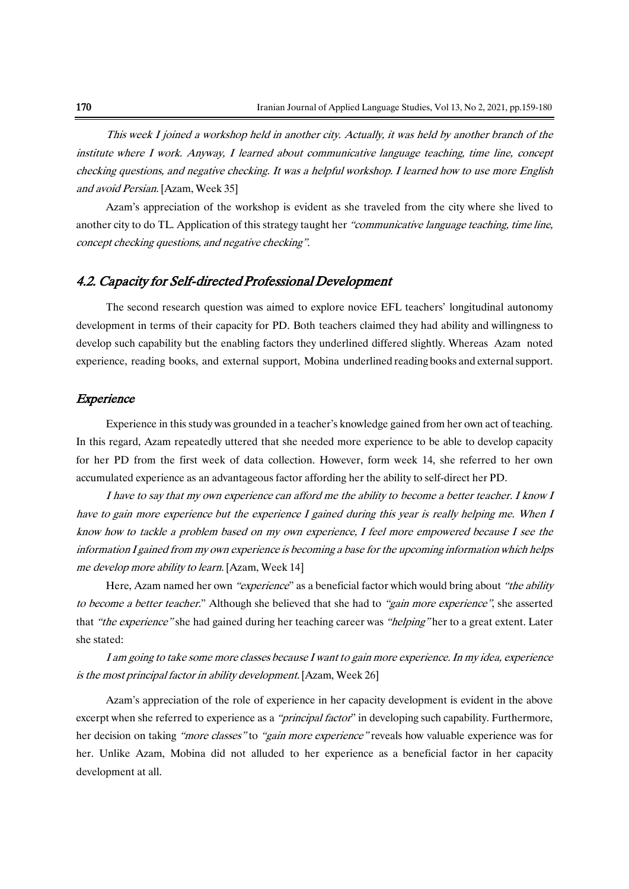This week I joined <sup>a</sup> workshop held in another city. Actually, it was held by another branch of the institute where I work. Anyway, I learned about communicative language teaching, time line, concept checking questions, and negative checking. It was <sup>a</sup> helpful workshop. I learned how to use more English and avoid Persian. [Azam, Week 35]

Azam's appreciation of the workshop is evident as she traveled from the city where she lived to another city to do TL. Application of this strategy taught her "communicative language teaching, time line, concept checking questions, and negative checking".

### 4.2. Capacity for Self-directed Professional Development

The second research question was aimed to explore novice EFL teachers' longitudinal autonomy development in terms of their capacity for PD. Both teachers claimed they had ability and willingness to develop such capability but the enabling factors they underlined differed slightly. Whereas Azam noted experience, reading books, and external support, Mobina underlined reading books and external support.

#### Experience

Experience in this study was grounded in a teacher's knowledge gained from her own act of teaching. In this regard, Azam repeatedly uttered that she needed more experience to be able to develop capacity for her PD from the first week of data collection. However, form week 14, she referred to her own accumulated experience as an advantageous factor affording her the ability to self-direct her PD.

I have to say that my own experience can afford me the ability to become <sup>a</sup> better teacher. I know I have to gain more experience but the experience I gained during this year is really helping me. When I know how to tackle <sup>a</sup> problem based on my own experience, I feel more empowered because I see the information I gained from my own experience is becoming <sup>a</sup> base for the upcoming information which helps me develop more ability to learn. [Azam, Week 14]

Here, Azam named her own "experience" as a beneficial factor which would bring about "the ability" to become a better teacher." Although she believed that she had to "gain more experience", she asserted that "the experience" she had gained during her teaching career was "helping" her to a great extent. Later she stated:

I am going to take some more classes because I want to gain more experience. In my idea, experience is the most principal factor in ability development. [Azam, Week 26]

Azam's appreciation of the role of experience in her capacity development is evident in the above excerpt when she referred to experience as a "*principal factor*" in developing such capability. Furthermore, her decision on taking "more classes" to "gain more experience" reveals how valuable experience was for her. Unlike Azam, Mobina did not alluded to her experience as a beneficial factor in her capacity development at all.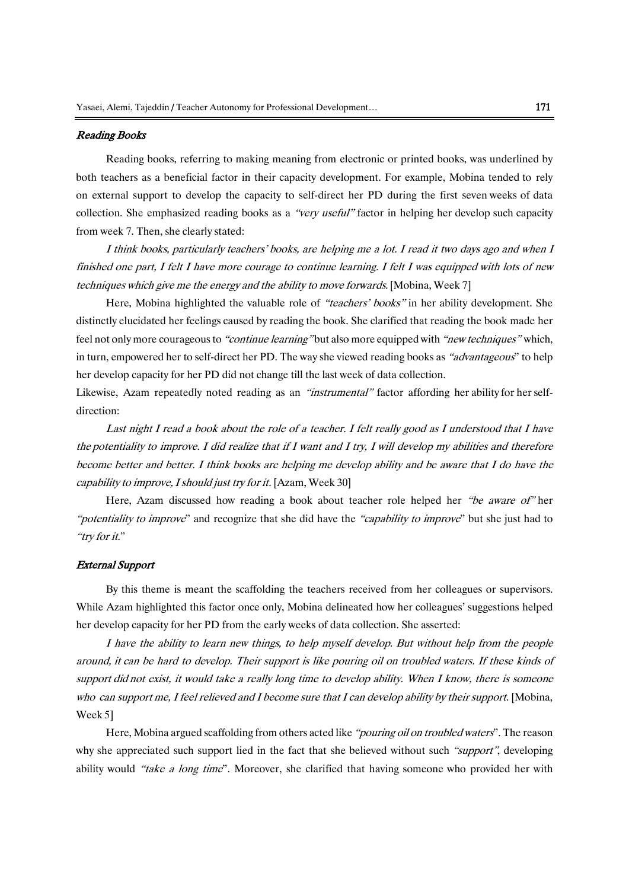#### Reading Books

Reading books, referring to making meaning from electronic or printed books, was underlined by both teachers as a beneficial factor in their capacity development. For example, Mobina tended to rely on external support to develop the capacity to self-direct her PD during the first seven weeks of data collection. She emphasized reading books as a "very useful" factor in helping her develop such capacity from week 7. Then, she clearly stated:

I think books, particularly teachers' books, are helping me <sup>a</sup> lot. I read it two days ago and when I finished one part, I felt I have more courage to continue learning. I felt I was equipped with lots of new techniques which give me the energy and the ability to move forwards. [Mobina, Week 7]

Here, Mobina highlighted the valuable role of "teachers' books" in her ability development. She distinctly elucidated her feelings caused by reading the book. She clarified that reading the book made her feel not only more courageous to "continue learning" but also more equipped with "new techniques" which, in turn, empowered her to self-direct her PD. The way she viewed reading books as "advantageous" to help her develop capacity for her PD did not change till the last week of data collection.

Likewise, Azam repeatedly noted reading as an "instrumental" factor affording her ability for her selfdirection:

Last night I read a book about the role of a teacher. I felt really good as I understood that I have the potentiality to improve. I did realize that if I want and I try, I will develop my abilities and therefore become better and better. I think books are helping me develop ability and be aware that I do have the capability to improve, I should just try for it. [Azam, Week 30]

Here, Azam discussed how reading a book about teacher role helped her "be aware of" her "potentiality to improve" and recognize that she did have the "capability to improve" but she just had to "try for it."

#### External Support

By this theme is meant the scaffolding the teachers received from her colleagues or supervisors. While Azam highlighted this factor once only, Mobina delineated how her colleagues' suggestions helped her develop capacity for her PD from the early weeks of data collection. She asserted:

I have the ability to learn new things, to help myself develop. But without help from the people around, it can be hard to develop. Their support is like pouring oil on troubled waters. If these kinds of support did not exist, it would take a really long time to develop ability. When I know, there is someone who can support me, I feel relieved and I become sure that I can develop ability by their support. [Mobina, Week 5]

Here, Mobina argued scaffolding from others acted like "pouring oil on troubled waters". The reason why she appreciated such support lied in the fact that she believed without such "support", developing ability would "take a long time". Moreover, she clarified that having someone who provided her with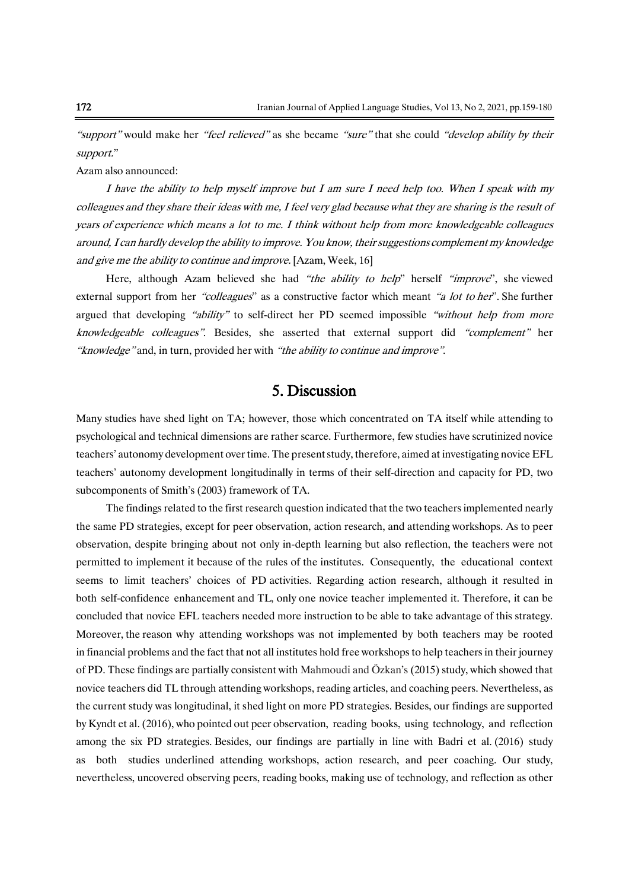"support" would make her "feel relieved" as she became "sure" that she could "develop ability by their support."

Azam also announced:

I have the ability to help myself improve but I am sure I need help too. When I speak with my colleagues and they share their ideas with me, I feel very glad because what they are sharing is the result of years of experience which means <sup>a</sup> lot to me. I think without help from more knowledgeable colleagues around, I can hardly develop the ability to improve. You know, their suggestions complement my knowledge and give me the ability to continue and improve. [Azam, Week, 16]

Here, although Azam believed she had "the ability to help" herself "improve", she viewed external support from her "colleagues" as a constructive factor which meant "a lot to her". She further argued that developing "ability" to self-direct her PD seemed impossible "without help from more knowledgeable colleagues". Besides, she asserted that external support did "complement" her "knowledge" and, in turn, provided her with "the ability to continue and improve".

# 5. Discussion

Many studies have shed light on TA; however, those which concentrated on TA itself while attending to psychological and technical dimensions are rather scarce. Furthermore, few studies have scrutinized novice teachers' autonomy development over time. The present study, therefore, aimed at investigating novice EFL teachers' autonomy development longitudinally in terms of their self-direction and capacity for PD, two subcomponents of Smith's (2003) framework of TA.

The findings related to the first research question indicated that the two teachers implemented nearly the same PD strategies, except for peer observation, action research, and attending workshops. As to peer observation, despite bringing about not only in-depth learning but also reflection, the teachers were not permitted to implement it because of the rules of the institutes. Consequently, the educational context seems to limit teachers' choices of PD activities. Regarding action research, although it resulted in both self-confidence enhancement and TL, only one novice teacher implemented it. Therefore, it can be concluded that novice EFL teachers needed more instruction to be able to take advantage of this strategy. Moreover, the reason why attending workshops was not implemented by both teachers may be rooted in financial problems and the fact that not all institutes hold free workshops to help teachersin their journey of PD. These findings are partially consistent with Mahmoudi and Özkan's (2015) study, which showed that novice teachers did TL through attending workshops, reading articles, and coaching peers. Nevertheless, as the current study was longitudinal, it shed light on more PD strategies. Besides, our findings are supported by Kyndt et al. (2016), who pointed out peer observation, reading books, using technology, and reflection among the six PD strategies. Besides, our findings are partially in line with Badri et al. (2016) study as both studies underlined attending workshops, action research, and peer coaching. Our study, nevertheless, uncovered observing peers, reading books, making use of technology, and reflection as other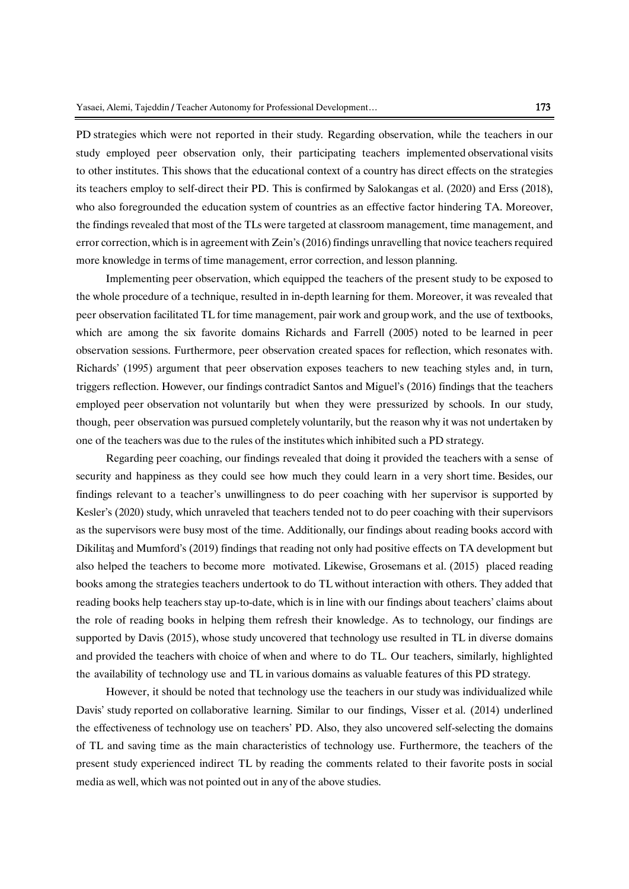PD strategies which were not reported in their study. Regarding observation, while the teachers in our study employed peer observation only, their participating teachers implemented observational visits to other institutes. This shows that the educational context of a country has direct effects on the strategies its teachers employ to self-direct their PD. This is confirmed by Salokangas et al. (2020) and Erss (2018), who also foregrounded the education system of countries as an effective factor hindering TA. Moreover, the findings revealed that most of the TLs were targeted at classroom management, time management, and error correction, which is in agreement with Zein's (2016) findings unravelling that novice teachers required more knowledge in terms of time management, error correction, and lesson planning.

Implementing peer observation, which equipped the teachers of the present study to be exposed to the whole procedure of a technique, resulted in in-depth learning for them. Moreover, it was revealed that peer observation facilitated TL for time management, pair work and group work, and the use of textbooks, which are among the six favorite domains Richards and Farrell (2005) noted to be learned in peer observation sessions. Furthermore, peer observation created spaces for reflection, which resonates with. Richards' (1995) argument that peer observation exposes teachers to new teaching styles and, in turn, triggers reflection. However, our findings contradict Santos and Miguel's (2016) findings that the teachers employed peer observation not voluntarily but when they were pressurized by schools. In our study, though, peer observation was pursued completely voluntarily, but the reason why it was not undertaken by one of the teachers was due to the rules of the institutes which inhibited such a PD strategy.

Regarding peer coaching, our findings revealed that doing it provided the teachers with a sense of security and happiness as they could see how much they could learn in a very short time. Besides, our findings relevant to a teacher's unwillingness to do peer coaching with her supervisor is supported by Kesler's (2020) study, which unraveled that teachers tended not to do peer coaching with their supervisors as the supervisors were busy most of the time. Additionally, our findings about reading books accord with Dikilitaş and Mumford's (2019) findings that reading not only had positive effects on TA development but also helped the teachers to become more motivated. Likewise, Grosemans et al. (2015) placed reading books among the strategies teachers undertook to do TL without interaction with others. They added that reading books help teachers stay up-to-date, which is in line with our findings about teachers' claims about the role of reading books in helping them refresh their knowledge. As to technology, our findings are supported by Davis (2015), whose study uncovered that technology use resulted in TL in diverse domains and provided the teachers with choice of when and where to do TL. Our teachers, similarly, highlighted the availability of technology use and TL in various domains as valuable features of this PD strategy.

However, it should be noted that technology use the teachers in our study was individualized while Davis' study reported on collaborative learning. Similar to our findings, Visser et al. (2014) underlined the effectiveness of technology use on teachers' PD. Also, they also uncovered self-selecting the domains of TL and saving time as the main characteristics of technology use. Furthermore, the teachers of the present study experienced indirect TL by reading the comments related to their favorite posts in social media as well, which was not pointed out in any of the above studies.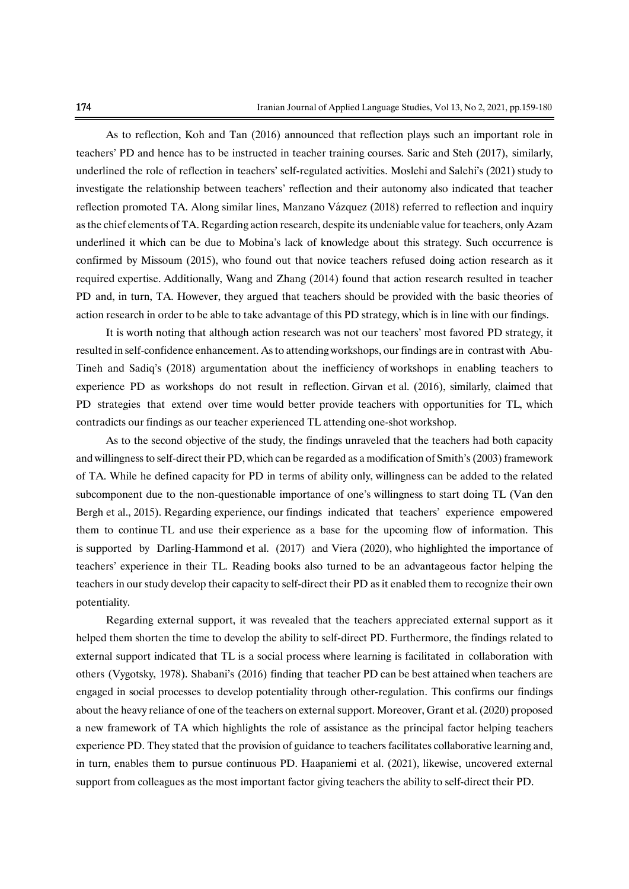As to reflection, Koh and Tan (2016) announced that reflection plays such an important role in teachers' PD and hence has to be instructed in teacher training courses. Saric and Steh (2017), similarly, underlined the role of reflection in teachers' self-regulated activities. Moslehi and Salehi's (2021) study to investigate the relationship between teachers' reflection and their autonomy also indicated that teacher reflection promoted TA. Along similar lines, Manzano Vázquez (2018) referred to reflection and inquiry asthe chief elements of TA. Regarding action research, despite its undeniable value forteachers, only Azam underlined it which can be due to Mobina's lack of knowledge about this strategy. Such occurrence is confirmed by Missoum (2015), who found out that novice teachers refused doing action research as it required expertise. Additionally, Wang and Zhang (2014) found that action research resulted in teacher PD and, in turn, TA. However, they argued that teachers should be provided with the basic theories of action research in order to be able to take advantage of this PD strategy, which is in line with our findings.

It is worth noting that although action research was not our teachers' most favored PD strategy, it resulted in self-confidence enhancement. Asto attending workshops, our findings are in contrast with Abu-Tineh and Sadiq's (2018) argumentation about the inefficiency of workshops in enabling teachers to experience PD as workshops do not result in reflection. Girvan et al. (2016), similarly, claimed that PD strategies that extend over time would better provide teachers with opportunities for TL, which contradicts our findings as our teacher experienced TL attending one-shot workshop.

As to the second objective of the study, the findings unraveled that the teachers had both capacity and willingness to self-direct their PD, which can be regarded as a modification of Smith's (2003) framework of TA. While he defined capacity for PD in terms of ability only, willingness can be added to the related subcomponent due to the non-questionable importance of one's willingness to start doing TL (Van den Bergh et al., 2015). Regarding experience, our findings indicated that teachers' experience empowered them to continue TL and use their experience as a base for the upcoming flow of information. This is supported by Darling-Hammond et al. (2017) and Viera (2020), who highlighted the importance of teachers' experience in their TL. Reading books also turned to be an advantageous factor helping the teachers in our study develop their capacity to self-direct their PD as it enabled them to recognize their own potentiality.

Regarding external support, it was revealed that the teachers appreciated external support as it helped them shorten the time to develop the ability to self-direct PD. Furthermore, the findings related to external support indicated that TL is a social process where learning is facilitated in collaboration with others (Vygotsky, 1978). Shabani's (2016) finding that teacher PD can be best attained when teachers are engaged in social processes to develop potentiality through other-regulation. This confirms our findings about the heavy reliance of one of the teachers on external support. Moreover, Grant et al. (2020) proposed a new framework of TA which highlights the role of assistance as the principal factor helping teachers experience PD. They stated that the provision of guidance to teachers facilitates collaborative learning and, in turn, enables them to pursue continuous PD. Haapaniemi et al. (2021), likewise, uncovered external support from colleagues as the most important factor giving teachers the ability to self-direct their PD.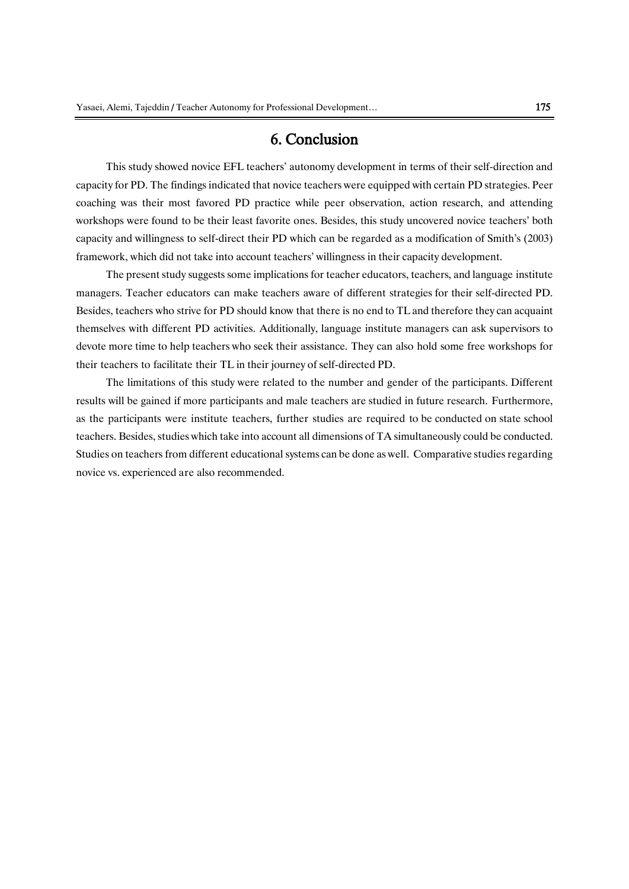## 6. Conclusion

This study showed novice EFL teachers' autonomy development in terms of their self-direction and capacity for PD. The findings indicated that novice teachers were equipped with certain PD strategies. Peer coaching was their most favored PD practice while peer observation, action research, and attending workshops were found to be their least favorite ones. Besides, this study uncovered novice teachers' both capacity and willingness to self-direct their PD which can be regarded as a modification of Smith's (2003) framework, which did not take into account teachers' willingness in their capacity development.

The present study suggests some implications for teacher educators, teachers, and language institute managers. Teacher educators can make teachers aware of different strategies for their self-directed PD. Besides, teachers who strive for PD should know that there is no end to TL and therefore they can acquaint themselves with different PD activities. Additionally, language institute managers can ask supervisors to devote more time to help teachers who seek their assistance. They can also hold some free workshops for their teachers to facilitate their TL in their journey of self-directed PD.

The limitations of this study were related to the number and gender of the participants. Different results will be gained if more participants and male teachers are studied in future research. Furthermore, as the participants were institute teachers, further studies are required to be conducted on state school teachers. Besides, studies which take into account all dimensions of TA simultaneously could be conducted. Studies on teachers from different educational systems can be done as well. Comparative studies regarding novice vs. experienced are also recommended.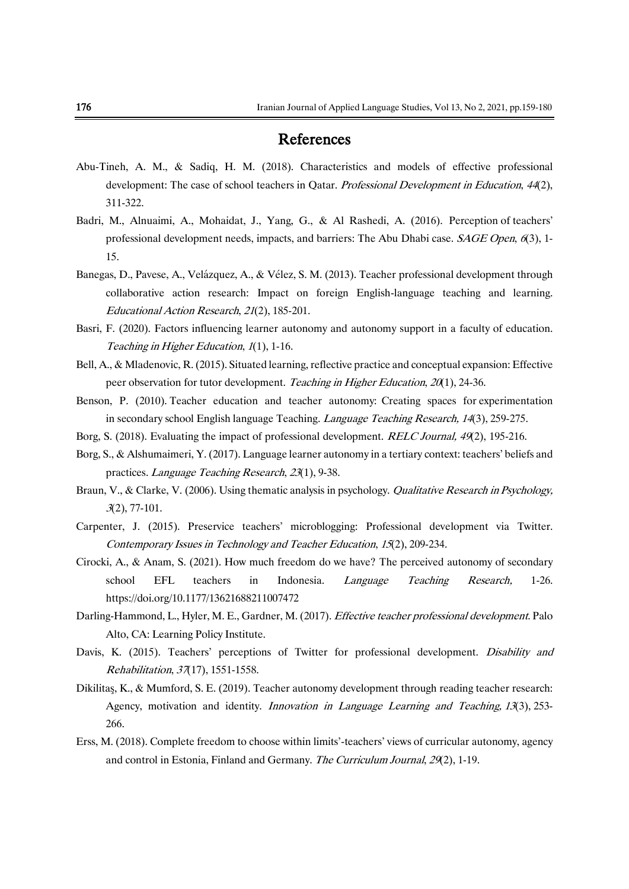# References

- Abu-Tineh, A. M., & Sadiq, H. M. (2018). Characteristics and models of effective professional development: The case of school teachers in Qatar. Professional Development in Education, 44(2), 311-322.
- Badri, M., Alnuaimi, A., Mohaidat, J., Yang, G., & Al Rashedi, A. (2016). Perception of teachers' professional development needs, impacts, and barriers: The Abu Dhabi case. *SAGE Open*, 6(3), 1-15.
- Banegas, D., Pavese, A., Velázquez, A., & Vélez, S. M. (2013). Teacher professional development through collaborative action research: Impact on foreign English-language teaching and learning. Educational Action Research, 21(2), 185-201.
- Basri, F. (2020). Factors influencing learner autonomy and autonomy support in a faculty of education. Teaching in Higher Education, 1(1), 1-16.
- Bell, A., & Mladenovic, R. (2015). Situated learning, reflective practice and conceptual expansion: Effective peer observation for tutor development. Teaching in Higher Education, 20(1), 24-36.
- Benson, P. (2010). Teacher education and teacher autonomy: Creating spaces for experimentation in secondary school English language Teaching. *Language Teaching Research*, 14(3), 259-275.
- Borg, S. (2018). Evaluating the impact of professional development. *RELC Journal*, 49(2), 195-216.
- Borg, S., & Alshumaimeri, Y. (2017). Language learner autonomy in a tertiary context: teachers' beliefs and practices. Language Teaching Research, 23(1), 9-38.
- Braun, V., & Clarke, V. (2006). Using thematic analysis in psychology. Qualitative Research in Psychology, <sup>3</sup>(2), 77-101.
- Carpenter, J. (2015). Preservice teachers' microblogging: Professional development via Twitter. Contemporary Issues in Technology and Teacher Education, 15(2), 209-234.
- Cirocki, A., & Anam, S. (2021). How much freedom do we have? The perceived autonomy of secondary school EFL teachers in Indonesia. *Language Teaching Research,* 1-26. [https://doi.org/10.1177/13621688211007472](https://doi.org/10.1177%2F13621688211007472)
- Darling-Hammond, L., Hyler, M. E., Gardner, M. (2017). Effective teacher professional development. Palo Alto, CA: Learning Policy Institute.
- Davis, K. (2015). Teachers' perceptions of Twitter for professional development. Disability and Rehabilitation, 37(17), 1551-1558.
- Dikilitaş, K., & Mumford, S. E. (2019). Teacher autonomy development through reading teacher research: Agency, motivation and identity. *Innovation in Language Learning and Teaching, 13*(3), 253-266.
- Erss, M. (2018). Complete freedom to choose within limits'-teachers' views of curricular autonomy, agency and control in Estonia, Finland and Germany. The Curriculum Journal, 29(2), 1-19.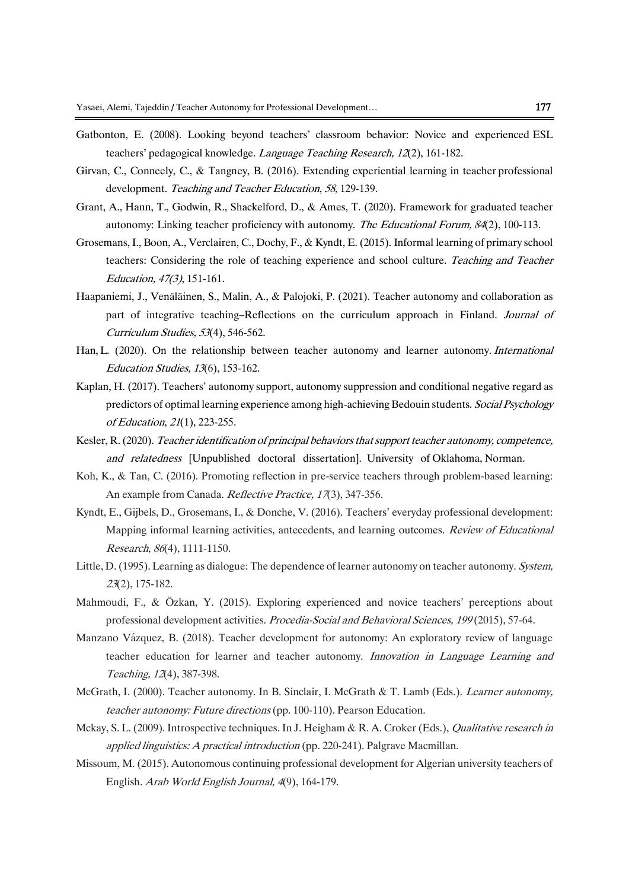- Gatbonton, E. (2008). Looking beyond teachers' classroom behavior: Novice and experienced ESL teachers' pedagogical knowledge. Language Teaching Research, 12(2), 161-182.
- Girvan, C., Conneely, C., & Tangney, B. (2016). Extending experiential learning in teacher professional development. Teaching and Teacher Education, 58, 129-139.
- Grant, A., Hann, T., Godwin, R., Shackelford, D., & Ames, T. (2020). Framework for graduated teacher autonomy: Linking teacher proficiency with autonomy. The Educational Forum, 84(2), 100-113.
- Grosemans, I., Boon, A., Verclairen, C., Dochy, F., & Kyndt, E. (2015). Informal learning of primary school teachers: Considering the role of teaching experience and school culture. Teaching and Teacher Education, 47(3), 151-161.
- Haapaniemi, J., Venäläinen, S., Malin, A., & Palojoki, P. (2021). Teacher autonomy and collaboration as part of integrative teaching–Reflections on the curriculum approach in Finland. Journal of Curriculum Studies, 53(4), 546-562.
- Han, L. (2020). On the relationship between teacher autonomy and learner autonomy. International Education Studies, 13(6), 153-162.
- Kaplan, H. (2017). Teachers' autonomy support, autonomy suppression and conditional negative regard as predictors of optimal learning experience among high-achieving Bedouin students. Social Psychology of Education, 21(1), 223-255.
- Kesler, R. (2020). Teacher identification of principal behaviors that support teacher autonomy, competence, and relatedness [Unpublished doctoral dissertation]. University of Oklahoma, Norman.
- Koh, K., & Tan, C. (2016). Promoting reflection in pre-service teachers through problem-based learning: An example from Canada. Reflective Practice, 17(3), 347-356.
- Kyndt, E., Gijbels, D., Grosemans, I., & Donche, V. (2016). Teachers' everyday professional development: Mapping informal learning activities, antecedents, and learning outcomes. Review of Educational Research, 86(4), 1111-1150.
- Little, D. (1995). Learning as dialogue: The dependence of learner autonomy on teacher autonomy. System, <sup>23</sup>(2), 175-182.
- Mahmoudi, F., & Özkan, Y. (2015). Exploring experienced and novice teachers' perceptions about professional development activities. Procedia-Social and Behavioral Sciences, 199 (2015), 57-64.
- Manzano Vázquez, B. (2018). Teacher development for autonomy: An exploratory review of language teacher education for learner and teacher autonomy. Innovation in Language Learning and Teaching, 12(4), 387-398.
- McGrath, I. (2000). Teacher autonomy. In B. Sinclair, I. McGrath & T. Lamb (Eds.). Learner autonomy, teacher autonomy: Future directions (pp. 100-110). Pearson Education.
- Mckay, S. L. (2009). Introspective techniques. In J. Heigham & R. A. Croker (Eds.), Qualitative research in applied linguistics: A practical introduction (pp. 220-241). Palgrave Macmillan.
- Missoum, M. (2015). Autonomous continuing professional development for Algerian university teachers of English. Arab World English Journal, 4(9), 164-179.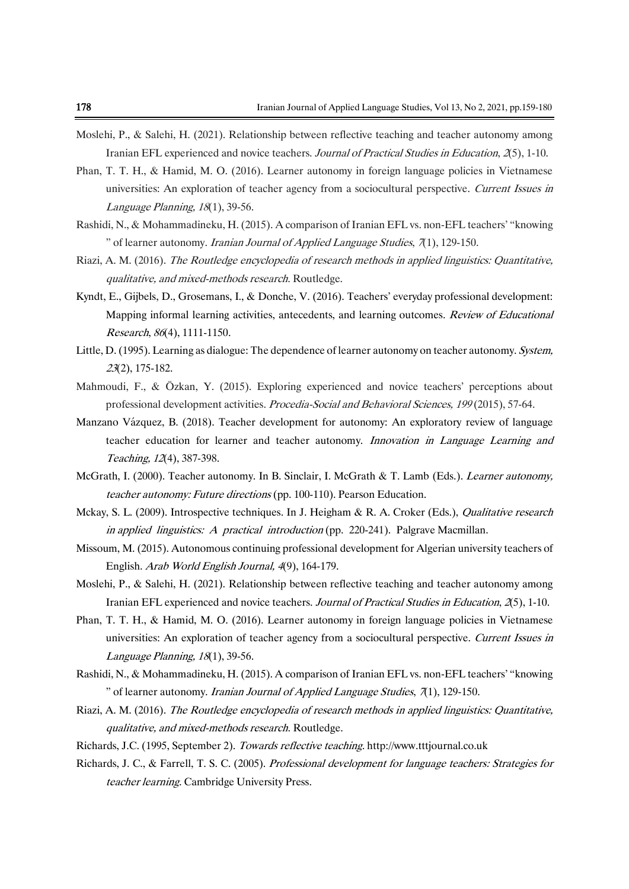- Moslehi, P., & Salehi, H. (2021). Relationship between reflective teaching and teacher autonomy among Iranian EFL experienced and novice teachers. Journal of Practical Studies in Education, 2(5), 1-10.
- Phan, T. T. H., & Hamid, M. O. (2016). Learner autonomy in foreign language policies in Vietnamese universities: An exploration of teacher agency from a sociocultural perspective. Current Issues in Language Planning, 18(1), 39-56.
- Rashidi, N., & Mohammadineku, H. (2015). A comparison of Iranian EFL vs. non-EFL teachers' "knowing " of learner autonomy. Iranian Journal of Applied Language Studies, 7(1), 129-150.
- Riazi, A. M. (2016). The Routledge encyclopedia of research methods in applied linguistics: Quantitative, qualitative, and mixed-methods research. Routledge.
- Kyndt, E., Gijbels, D., Grosemans, I., & Donche, V. (2016). Teachers' everyday professional development: Mapping informal learning activities, antecedents, and learning outcomes. Review of Educational Research, 86(4), 1111-1150.
- Little, D. (1995). Learning as dialogue: The dependence of learner autonomy on teacher autonomy. System, <sup>23</sup>(2), 175-182.
- Mahmoudi, F., & Özkan, Y. (2015). Exploring experienced and novice teachers' perceptions about professional development activities. Procedia-Social and Behavioral Sciences, 199 (2015), 57-64.
- Manzano Vázquez, B. (2018). Teacher development for autonomy: An exploratory review of language teacher education for learner and teacher autonomy. Innovation in Language Learning and Teaching, 12(4), 387-398.
- McGrath, I. (2000). Teacher autonomy. In B. Sinclair, I. McGrath & T. Lamb (Eds.). Learner autonomy, teacher autonomy: Future directions (pp. 100-110). Pearson Education.
- Mckay, S. L. (2009). Introspective techniques. In J. Heigham & R. A. Croker (Eds.), *Qualitative research* in applied linguistics: <sup>A</sup> practical introduction (pp. 220-241). Palgrave Macmillan.
- Missoum, M. (2015). Autonomous continuing professional development for Algerian university teachers of English. Arab World English Journal, <sup>4</sup>(9), 164-179.
- Moslehi, P., & Salehi, H. (2021). Relationship between reflective teaching and teacher autonomy among Iranian EFL experienced and novice teachers. Journal of Practical Studies in Education, 2(5), 1-10.
- Phan, T. T. H., & Hamid, M. O. (2016). Learner autonomy in foreign language policies in Vietnamese universities: An exploration of teacher agency from a sociocultural perspective. Current Issues in Language Planning, 18(1), 39-56.
- Rashidi, N., & Mohammadineku, H. (2015). A comparison of Iranian EFL vs. non-EFL teachers' "knowing " of learner autonomy. *Iranian Journal of Applied Language Studies*,  $\pi$ <sub>1</sub>), 129-150.
- Riazi, A. M. (2016). The Routledge encyclopedia of research methods in applied linguistics: Quantitative, qualitative, and mixed-methods research. Routledge.
- Richards, J.C. (1995, September 2). Towards reflective teaching. [http://www.tttjournal.co.uk](http://www.tttjournal.co.uk/)
- Richards, J. C., & Farrell, T. S. C. (2005). Professional development for language teachers: Strategies for teacher learning. Cambridge University Press.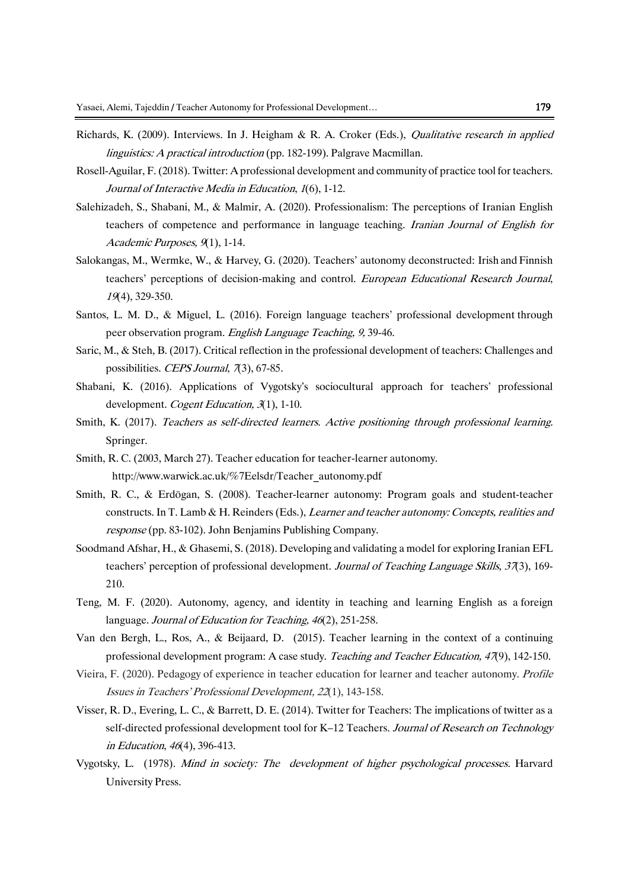- Richards, K. (2009). Interviews. In J. Heigham & R. A. Croker (Eds.), Qualitative research in applied linguistics: <sup>A</sup> practical introduction (pp. 182-199). Palgrave Macmillan.
- Rosell-Aguilar, F. (2018). Twitter: A professional development and community of practice tool for teachers. Journal of Interactive Media in Education, 1(6), 1-12.
- Salehizadeh, S., Shabani, M., & Malmir, A. (2020). Professionalism: The perceptions of Iranian English teachers of competence and performance in language teaching. Iranian Journal of English for Academic Purposes, 9(1), 1-14.
- Salokangas, M., Wermke, W., & Harvey, G. (2020). Teachers' autonomy deconstructed: Irish and Finnish teachers' perceptions of decision-making and control. European Educational Research Journal, <sup>19</sup>(4), 329-350.
- Santos, L. M. D., & Miguel, L. (2016). Foreign language teachers' professional development through peer observation program. English Language Teaching, 9, 39-46.
- Saric, M., & Steh, B. (2017). Critical reflection in the professional development of teachers: Challenges and possibilities. CEPS Journal, 7(3), 67-85.
- Shabani, K. (2016). Applications of Vygotsky's sociocultural approach for teachers' professional development. *Cogent Education*, 3(1), 1-10.
- Smith, K. (2017). Teachers as self-directed learners. Active positioning through professional learning. Springer.
- Smith, R. C. (2003, March 27). Teacher education for teacher-learner autonomy. [http://www.warwick.ac.uk/%7Eelsdr/Teacher\\_autonomy.pdf](http://www.warwick.ac.uk/~elsdr/Teacher_autonomy.pdf)
- Smith, R. C., & Erdögan, S. (2008). Teacher-learner autonomy: Program goals and student-teacher constructs. In T. Lamb & H. Reinders (Eds.), Learner and teacher autonomy: Concepts, realities and response (pp. 83-102). John Benjamins Publishing Company.
- Soodmand Afshar, H., & Ghasemi, S. (2018). Developing and validating a model for exploring Iranian EFL teachers' perception of professional development. Journal of Teaching Language Skills, 37(3), 169-210.
- Teng, M. F. (2020). Autonomy, agency, and identity in teaching and learning English as a foreign language. Journal of Education for Teaching, 46(2), 251-258.
- Van den Bergh, L., Ros, A., & Beijaard, D. (2015). Teacher learning in the context of a continuing professional development program: A case study. Teaching and Teacher Education, 47(9), 142-150.
- Vieira, F. (2020). Pedagogy of experience in teacher education for learner and teacher autonomy. Profile Issues in Teachers' Professional Development, 22(1), 143-158.
- Visser, R. D., Evering, L. C., & Barrett, D. E. (2014). Twitter for Teachers: The implications of twitter as a self-directed professional development tool for K–12 Teachers. Journal of Research on Technology in Education, 46(4), 396-413.
- Vygotsky, L. (1978). Mind in society: The development of higher psychological processes. Harvard University Press.